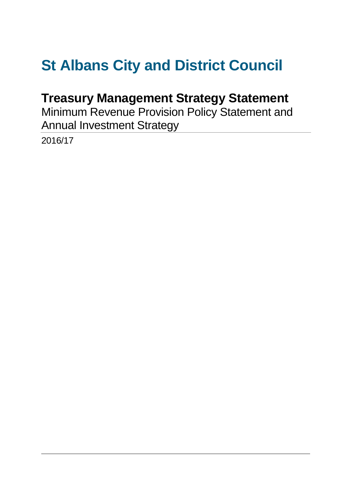# **St Albans City and District Council**

# **Treasury Management Strategy Statement**

Minimum Revenue Provision Policy Statement and Annual Investment Strategy

2016/17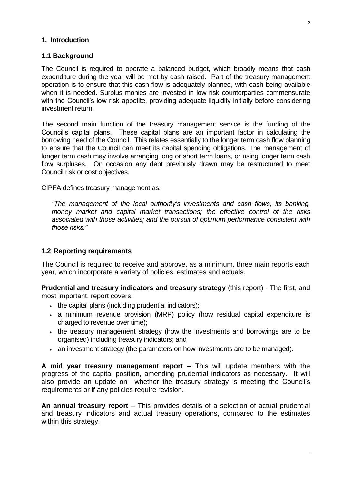#### **1. Introduction**

#### **1.1 Background**

The Council is required to operate a balanced budget, which broadly means that cash expenditure during the year will be met by cash raised. Part of the treasury management operation is to ensure that this cash flow is adequately planned, with cash being available when it is needed. Surplus monies are invested in low risk counterparties commensurate with the Council's low risk appetite, providing adequate liquidity initially before considering investment return.

The second main function of the treasury management service is the funding of the Council's capital plans. These capital plans are an important factor in calculating the borrowing need of the Council. This relates essentially to the longer term cash flow planning to ensure that the Council can meet its capital spending obligations. The management of longer term cash may involve arranging long or short term loans, or using longer term cash flow surpluses. On occasion any debt previously drawn may be restructured to meet Council risk or cost objectives.

CIPFA defines treasury management as:

*"The management of the local authority's investments and cash flows, its banking, money market and capital market transactions; the effective control of the risks associated with those activities; and the pursuit of optimum performance consistent with those risks."*

#### **1.2 Reporting requirements**

The Council is required to receive and approve, as a minimum, three main reports each year, which incorporate a variety of policies, estimates and actuals.

**Prudential and treasury indicators and treasury strategy** (this report) - The first, and most important, report covers:

- . the capital plans (including prudential indicators);
- a minimum revenue provision (MRP) policy (how residual capital expenditure is charged to revenue over time);
- the treasury management strategy (how the investments and borrowings are to be organised) including treasury indicators; and
- an investment strategy (the parameters on how investments are to be managed).

**A mid year treasury management report** – This will update members with the progress of the capital position, amending prudential indicators as necessary. It will also provide an update on whether the treasury strategy is meeting the Council's requirements or if any policies require revision.

**An annual treasury report** – This provides details of a selection of actual prudential and treasury indicators and actual treasury operations, compared to the estimates within this strategy.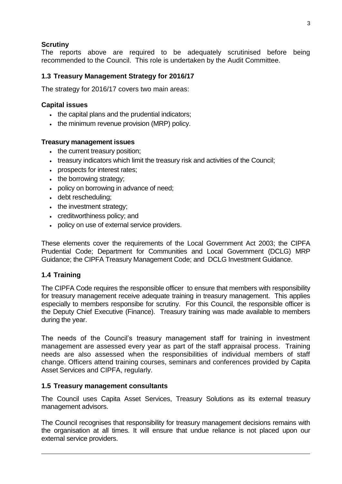#### **Scrutiny**

The reports above are required to be adequately scrutinised before being recommended to the Council. This role is undertaken by the Audit Committee.

#### **1.3 Treasury Management Strategy for 2016/17**

The strategy for 2016/17 covers two main areas:

#### **Capital issues**

- . the capital plans and the prudential indicators;
- the minimum revenue provision (MRP) policy.

#### **Treasury management issues**

- the current treasury position:
- treasury indicators which limit the treasury risk and activities of the Council;
- prospects for interest rates;
- the borrowing strategy;
- policy on borrowing in advance of need;
- debt rescheduling;
- the investment strategy;
- creditworthiness policy; and
- policy on use of external service providers.

These elements cover the requirements of the Local Government Act 2003; the CIPFA Prudential Code; Department for Communities and Local Government (DCLG) MRP Guidance; the CIPFA Treasury Management Code; and DCLG Investment Guidance.

#### **1.4 Training**

The CIPFA Code requires the responsible officer to ensure that members with responsibility for treasury management receive adequate training in treasury management. This applies especially to members responsibe for scrutiny. For this Council, the responsible officer is the Deputy Chief Executive (Finance). Treasury training was made available to members during the year.

The needs of the Council's treasury management staff for training in investment management are assessed every year as part of the staff appraisal process. Training needs are also assessed when the responsibilities of individual members of staff change. Officers attend training courses, seminars and conferences provided by Capita Asset Services and CIPFA, regularly.

#### **1.5 Treasury management consultants**

The Council uses Capita Asset Services, Treasury Solutions as its external treasury management advisors.

The Council recognises that responsibility for treasury management decisions remains with the organisation at all times. It will ensure that undue reliance is not placed upon our external service providers.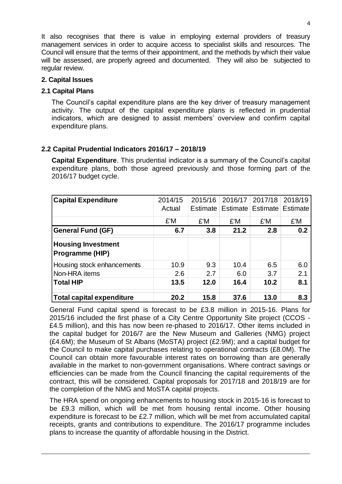It also recognises that there is value in employing external providers of treasury management services in order to acquire access to specialist skills and resources. The Council will ensure that the terms of their appointment, and the methods by which their value will be assessed, are properly agreed and documented. They will also be subjected to regular review.

#### **2. Capital Issues**

#### **2.1 Capital Plans**

The Council's capital expenditure plans are the key driver of treasury management activity. The output of the capital expenditure plans is reflected in prudential indicators, which are designed to assist members' overview and confirm capital expenditure plans.

#### **2.2 Capital Prudential Indicators 2016/17 – 2018/19**

**Capital Expenditure**. This prudential indicator is a summary of the Council's capital expenditure plans, both those agreed previously and those forming part of the 2016/17 budget cycle.

| <b>Capital Expenditure</b>                   | 2014/15 |          | 2015/16 2016/17 2017/18 |                            | 2018/19 |
|----------------------------------------------|---------|----------|-------------------------|----------------------------|---------|
|                                              | Actual  | Estimate |                         | Estimate Estimate Estimate |         |
|                                              | £'M     | £'M      | £'M                     | £'M                        | £'M     |
| <b>General Fund (GF)</b>                     | 6.7     | 3.8      | 21.2                    | 2.8                        | 0.2     |
| <b>Housing Investment</b><br>Programme (HIP) |         |          |                         |                            |         |
| Housing stock enhancements                   | 10.9    | 9.3      | 10.4                    | 6.5                        | 6.0     |
| Non-HRA items                                | 2.6     | 2.7      | 6.0                     | 3.7                        | 2.1     |
| <b>Total HIP</b>                             | 13.5    | 12.0     | 16.4                    | 10.2                       | 8.1     |
| <b>Total capital expenditure</b>             | 20.2    | 15.8     | 37.6                    | 13.0                       | 8.3     |

General Fund capital spend is forecast to be £3.8 million in 2015-16. Plans for 2015/16 included the first phase of a City Centre Opportunity Site project (CCOS - £4.5 million), and this has now been re-phased to 2016/17. Other items included in the capital budget for 2016/7 are the New Museum and Galleries (NMG) project (£4.6M); the Museum of St Albans (MoSTA) project (£2.9M); and a capital budget for the Council to make capital purchases relating to operational contracts (£8.0M). The Council can obtain more favourable interest rates on borrowing than are generally available in the market to non-government organisations. Where contract savings or efficiencies can be made from the Council financing the capital requirements of the contract, this will be considered. Capital proposals for 2017/18 and 2018/19 are for the completion of the NMG and MoSTA capital projects.

The HRA spend on ongoing enhancements to housing stock in 2015-16 is forecast to be £9.3 million, which will be met from housing rental income. Other housing expenditure is forecast to be £2.7 million, which will be met from accumulated capital receipts, grants and contributions to expenditure. The 2016/17 programme includes plans to increase the quantity of affordable housing in the District.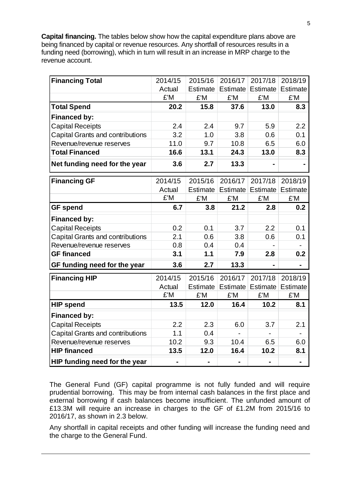**Capital financing.** The tables below show how the capital expenditure plans above are being financed by capital or revenue resources. Any shortfall of resources results in a funding need (borrowing), which in turn will result in an increase in MRP charge to the revenue account.

| <b>Financing Total</b>                  | 2014/15 | 2015/16        | 2016/17        | 2017/18           | 2018/19                  |
|-----------------------------------------|---------|----------------|----------------|-------------------|--------------------------|
|                                         | Actual  | Estimate       |                | Estimate Estimate | Estimate                 |
|                                         | £'M     | £'M            | £'M            | £'M               | £'M                      |
| <b>Total Spend</b>                      | 20.2    | 15.8           | 37.6           | 13.0              | 8.3                      |
| <b>Financed by:</b>                     |         |                |                |                   |                          |
| <b>Capital Receipts</b>                 | 2.4     | 2.4            | 9.7            | 5.9               | 2.2                      |
| <b>Capital Grants and contributions</b> | 3.2     | 1.0            | 3.8            | 0.6               | 0.1                      |
| Revenue/revenue reserves                | 11.0    | 9.7            | 10.8           | 6.5               | 6.0                      |
| <b>Total Financed</b>                   | 16.6    | 13.1           | 24.3           | 13.0              | 8.3                      |
| Net funding need for the year           | 3.6     | 2.7            | 13.3           |                   |                          |
| <b>Financing GF</b>                     | 2014/15 | 2015/16        | 2016/17        | 2017/18           | 2018/19                  |
|                                         | Actual  | Estimate       |                | Estimate Estimate | <b>Estimate</b>          |
|                                         | £'M     | £'M            | £'M            | £'M               | £'M                      |
| <b>GF</b> spend                         | 6.7     | 3.8            | 21.2           | 2.8               | 0.2                      |
| <b>Financed by:</b>                     |         |                |                |                   |                          |
| <b>Capital Receipts</b>                 | 0.2     | 0.1            | 3.7            | 2.2               | 0.1                      |
| Capital Grants and contributions        | 2.1     | 0.6            | 3.8            | 0.6               | 0.1                      |
| Revenue/revenue reserves                | 0.8     | 0.4            | 0.4            |                   |                          |
| <b>GF financed</b>                      | 3.1     | 1.1            | 7.9            | 2.8               | 0.2                      |
| GF funding need for the year            | 3.6     | 2.7            | 13.3           |                   |                          |
| <b>Financing HIP</b>                    | 2014/15 | 2015/16        | 2016/17        | 2017/18           | 2018/19                  |
|                                         | Actual  | Estimate       |                | Estimate Estimate | <b>Estimate</b>          |
|                                         | £'M     | £'M            | £'M            | £'M               | £'M                      |
| <b>HIP spend</b>                        | 13.5    | 12.0           | 16.4           | 10.2              | 8.1                      |
| <b>Financed by:</b>                     |         |                |                |                   |                          |
| <b>Capital Receipts</b>                 | 2.2     | 2.3            | 6.0            | 3.7               | 2.1                      |
| Capital Grants and contributions        | 1.1     | 0.4            |                |                   | $\overline{\phantom{0}}$ |
| Revenue/revenue reserves                | 10.2    | 9.3            | 10.4           | 6.5               | 6.0                      |
| <b>HIP financed</b>                     | 13.5    | 12.0           | 16.4           | 10.2              | 8.1                      |
| HIP funding need for the year           |         | $\blacksquare$ | $\blacksquare$ | ä,                | $\blacksquare$           |

The General Fund (GF) capital programme is not fully funded and will require prudential borrowing. This may be from internal cash balances in the first place and external borrowing if cash balances become insufficient. The unfunded amount of £13.3M will require an increase in charges to the GF of £1.2M from 2015/16 to 2016/17, as shown in 2.3 below.

Any shortfall in capital receipts and other funding will increase the funding need and the charge to the General Fund.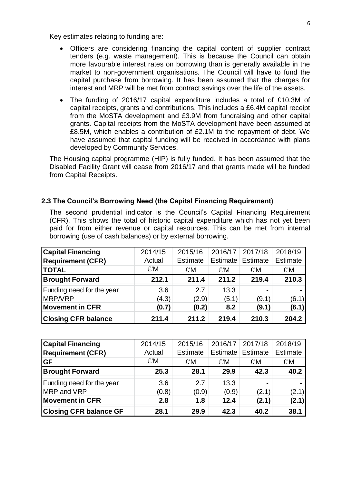Key estimates relating to funding are:

- Officers are considering financing the capital content of supplier contract tenders (e.g. waste management). This is because the Council can obtain more favourable interest rates on borrowing than is generally available in the market to non-government organisations. The Council will have to fund the capital purchase from borrowing. It has been assumed that the charges for interest and MRP will be met from contract savings over the life of the assets.
- The funding of 2016/17 capital expenditure includes a total of £10.3M of capital receipts, grants and contributions. This includes a £6.4M capital receipt from the MoSTA development and £3.9M from fundraising and other capital grants. Capital receipts from the MoSTA development have been assumed at £8.5M, which enables a contribution of £2.1M to the repayment of debt. We have assumed that capital funding will be received in accordance with plans developed by Community Services.

The Housing capital programme (HIP) is fully funded. It has been assumed that the Disabled Facility Grant will cease from 2016/17 and that grants made will be funded from Capital Receipts.

#### **2.3 The Council's Borrowing Need (the Capital Financing Requirement)**

The second prudential indicator is the Council's Capital Financing Requirement (CFR). This shows the total of historic capital expenditure which has not yet been paid for from either revenue or capital resources. This can be met from internal borrowing (use of cash balances) or by external borrowing.

| <b>Capital Financing</b>   | 2014/15 | 2015/16  | 2016/17  | 2017/18  | 2018/19         |
|----------------------------|---------|----------|----------|----------|-----------------|
| <b>Requirement (CFR)</b>   | Actual  | Estimate | Estimate | Estimate | <b>Estimate</b> |
| <b>TOTAL</b>               | £'M     | £'M      | £'M      | £'M      | £'M             |
| <b>Brought Forward</b>     | 212.1   | 211.4    | 211.2    | 219.4    | 210.3           |
| Funding need for the year  | 3.6     | 2.7      | 13.3     |          |                 |
| <b>MRP/VRP</b>             | (4.3)   | (2.9)    | (5.1)    | (9.1)    | (6.1)           |
| <b>Movement in CFR</b>     | (0.7)   | (0.2)    | 8.2      | (9.1)    | (6.1)           |
| <b>Closing CFR balance</b> | 211.4   | 211.2    | 219.4    | 210.3    | 204.2           |

| <b>Capital Financing</b>      | 2014/15 | 2015/16  | 2016/17  | 2017/18  | 2018/19         |
|-------------------------------|---------|----------|----------|----------|-----------------|
| <b>Requirement (CFR)</b>      | Actual  | Estimate | Estimate | Estimate | <b>Estimate</b> |
| <b>GF</b>                     | £'M     | £'M      | £'M      | £'M      | £'M             |
| <b>Brought Forward</b>        | 25.3    | 28.1     | 29.9     | 42.3     | 40.2            |
| Funding need for the year     | 3.6     | 2.7      | 13.3     | -        |                 |
| MRP and VRP                   | (0.8)   | (0.9)    | (0.9)    | (2.1)    | (2.1)           |
| <b>Movement in CFR</b>        | 2.8     | 1.8      | 12.4     | (2.1)    | (2.1)           |
| <b>Closing CFR balance GF</b> | 28.1    | 29.9     | 42.3     | 40.2     | 38.1            |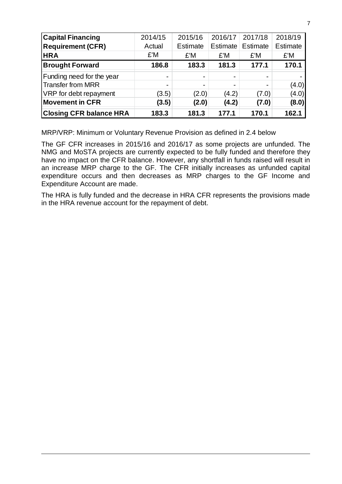| <b>Capital Financing</b>       | 2014/15                  | 2015/16                  | 2016/17        | 2017/18  | 2018/19         |
|--------------------------------|--------------------------|--------------------------|----------------|----------|-----------------|
| <b>Requirement (CFR)</b>       | Actual                   | <b>Estimate</b>          | Estimate       | Estimate | <b>Estimate</b> |
| <b>HRA</b>                     | £'M                      | £'M                      | £'M            | £'M      | £'M             |
| <b>Brought Forward</b>         | 186.8                    | 183.3                    | 181.3          | 177.1    | 170.1           |
| Funding need for the year      |                          |                          | $\blacksquare$ |          |                 |
| <b>Transfer from MRR</b>       | $\overline{\phantom{0}}$ | $\overline{\phantom{0}}$ | $\blacksquare$ |          | (4.0)           |
| VRP for debt repayment         | (3.5)                    | (2.0)                    | (4.2)          | (7.0)    | (4.0)           |
| <b>Movement in CFR</b>         | (3.5)                    | (2.0)                    | (4.2)          | (7.0)    | (8.0)           |
| <b>Closing CFR balance HRA</b> | 183.3                    | 181.3                    | 177.1          | 170.1    | 162.1           |

MRP/VRP: Minimum or Voluntary Revenue Provision as defined in 2.4 below

The GF CFR increases in 2015/16 and 2016/17 as some projects are unfunded. The NMG and MoSTA projects are currently expected to be fully funded and therefore they have no impact on the CFR balance. However, any shortfall in funds raised will result in an increase MRP charge to the GF. The CFR initially increases as unfunded capital expenditure occurs and then decreases as MRP charges to the GF Income and Expenditure Account are made.

The HRA is fully funded and the decrease in HRA CFR represents the provisions made in the HRA revenue account for the repayment of debt.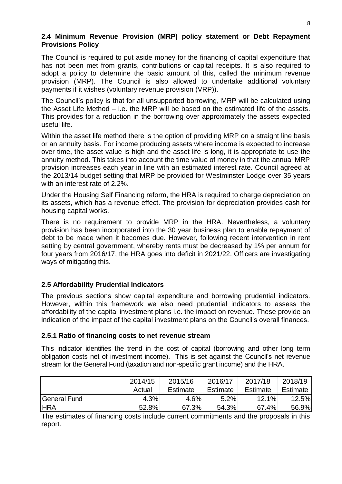#### **2.4 Minimum Revenue Provision (MRP) policy statement or Debt Repayment Provisions Policy**

The Council is required to put aside money for the financing of capital expenditure that has not been met from grants, contributions or capital receipts. It is also required to adopt a policy to determine the basic amount of this, called the minimum revenue provision (MRP). The Council is also allowed to undertake additional voluntary payments if it wishes (voluntary revenue provision (VRP)).

The Council's policy is that for all unsupported borrowing, MRP will be calculated using the Asset Life Method – i.e. the MRP will be based on the estimated life of the assets. This provides for a reduction in the borrowing over approximately the assets expected useful life.

Within the asset life method there is the option of providing MRP on a straight line basis or an annuity basis. For income producing assets where income is expected to increase over time, the asset value is high and the asset life is long, it is appropriate to use the annuity method. This takes into account the time value of money in that the annual MRP provision increases each year in line with an estimated interest rate. Council agreed at the 2013/14 budget setting that MRP be provided for Westminster Lodge over 35 years with an interest rate of 2.2%.

Under the Housing Self Financing reform, the HRA is required to charge depreciation on its assets, which has a revenue effect. The provision for depreciation provides cash for housing capital works.

There is no requirement to provide MRP in the HRA. Nevertheless, a voluntary provision has been incorporated into the 30 year business plan to enable repayment of debt to be made when it becomes due. However, following recent intervention in rent setting by central government, whereby rents must be decreased by 1% per annum for four years from 2016/17, the HRA goes into deficit in 2021/22. Officers are investigating ways of mitigating this.

#### **2.5 Affordability Prudential Indicators**

The previous sections show capital expenditure and borrowing prudential indicators. However, within this framework we also need prudential indicators to assess the affordability of the capital investment plans i.e. the impact on revenue. These provide an indication of the impact of the capital investment plans on the Council's overall finances.

#### **2.5.1 Ratio of financing costs to net revenue stream**

This indicator identifies the trend in the cost of capital (borrowing and other long term obligation costs net of investment income). This is set against the Council's net revenue stream for the General Fund (taxation and non-specific grant income) and the HRA.

|              | 2014/15 | 2015/16  | 2016/17  | 2017/18  | 2018/19      |
|--------------|---------|----------|----------|----------|--------------|
|              | Actual  | Estimate | Estimate | Estimate | Estimate     |
| General Fund | 4.3%    | 4.6%     | 5.2%     | 12.1%    | <b>12.5%</b> |
| <b>HRA</b>   | 52.8%   | 67.3%    | 54.3%    | 67.4%    | 56.9%        |
|              |         |          |          |          |              |

The estimates of financing costs include current commitments and the proposals in this report.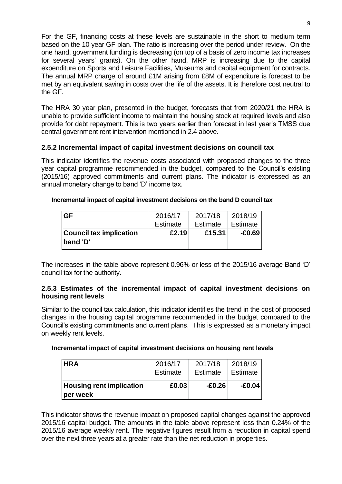For the GF, financing costs at these levels are sustainable in the short to medium term based on the 10 year GF plan. The ratio is increasing over the period under review. On the one hand, government funding is decreasing (on top of a basis of zero income tax increases for several years' grants). On the other hand, MRP is increasing due to the capital expenditure on Sports and Leisure Facilities, Museums and capital equipment for contracts. The annual MRP charge of around £1M arising from £8M of expenditure is forecast to be met by an equivalent saving in costs over the life of the assets. It is therefore cost neutral to the GF.

The HRA 30 year plan, presented in the budget, forecasts that from 2020/21 the HRA is unable to provide sufficient income to maintain the housing stock at required levels and also provide for debt repayment. This is two years earlier than forecast in last year's TMSS due central government rent intervention mentioned in 2.4 above.

#### **2.5.2 Incremental impact of capital investment decisions on council tax**

This indicator identifies the revenue costs associated with proposed changes to the three year capital programme recommended in the budget, compared to the Council's existing (2015/16) approved commitments and current plans. The indicator is expressed as an annual monetary change to band 'D' income tax.

#### **Incremental impact of capital investment decisions on the band D council tax**

| <b>Council tax implication</b><br>'band 'D' | £2.19    | £15.31   | $-E0.69$ |
|---------------------------------------------|----------|----------|----------|
| <b>GF</b>                                   | 2016/17  | 2017/18  | 2018/19  |
|                                             | Estimate | Estimate | Estimate |

The increases in the table above represent 0.96% or less of the 2015/16 average Band 'D' council tax for the authority.

#### **2.5.3 Estimates of the incremental impact of capital investment decisions on housing rent levels**

Similar to the council tax calculation, this indicator identifies the trend in the cost of proposed changes in the housing capital programme recommended in the budget compared to the Council's existing commitments and current plans. This is expressed as a monetary impact on weekly rent levels.

#### **Incremental impact of capital investment decisions on housing rent levels**

| <b>HRA</b>                                  | 2016/17  | 2017/18         | 2018/19  |
|---------------------------------------------|----------|-----------------|----------|
|                                             | Estimate | <b>Estimate</b> | Estimate |
| <b>Housing rent implication</b><br>per week | £0.03    | -£0.26          | $-£0.04$ |

This indicator shows the revenue impact on proposed capital changes against the approved 2015/16 capital budget. The amounts in the table above represent less than 0.24% of the 2015/16 average weekly rent. The negative figures result from a reduction in capital spend over the next three years at a greater rate than the net reduction in properties.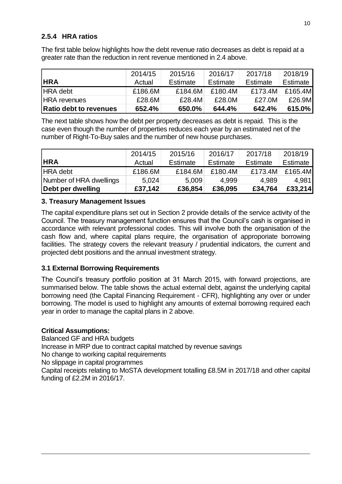#### **2.5.4 HRA ratios**

The first table below highlights how the debt revenue ratio decreases as debt is repaid at a greater rate than the reduction in rent revenue mentioned in 2.4 above.

|                               | 2014/15 | 2015/16  | 2016/17  | 2017/18  | 2018/19   |
|-------------------------------|---------|----------|----------|----------|-----------|
| <b>HRA</b>                    | Actual  | Estimate | Estimate | Estimate | Estimate  |
| <b>HRA</b> debt               | £186.6M | £184.6M  | £180.4M  | £173.4M  | £165.4M   |
| <b>HRA</b> revenues           | £28.6M  | £28.4M   | £28.0M   | £27.0M   | £26.9M    |
| <b>Ratio debt to revenues</b> | 652.4%  | 650.0%   | 644.4%   | 642.4%   | $615.0\%$ |

The next table shows how the debt per property decreases as debt is repaid. This is the case even though the number of properties reduces each year by an estimated net of the number of Right-To-Buy sales and the number of new house purchases.

|                         | 2014/15 | 2015/16  | 2016/17  | 2017/18  | 2018/19  |
|-------------------------|---------|----------|----------|----------|----------|
| <b>HRA</b>              | Actual  | Estimate | Estimate | Estimate | Estimate |
| <b>HRA</b> debt         | £186.6M | £184.6M  | £180.4M  | £173.4M  | £165.4M  |
| Number of HRA dwellings | 5,024   | 5,009    | 4.999    | 4.989    | 4,981    |
| Debt per dwelling       | £37,142 | £36,854  | £36,095  | £34,764  | £33,214  |

#### **3. Treasury Management Issues**

The capital expenditure plans set out in Section 2 provide details of the service activity of the Council. The treasury management function ensures that the Council's cash is organised in accordance with relevant professional codes. This will involve both the organisation of the cash flow and, where capital plans require, the organisation of approporiate borrowing facilities. The strategy covers the relevant treasury / prudential indicators, the current and projected debt positions and the annual investment strategy.

#### **3.1 External Borrowing Requirements**

The Council's treasury portfolio position at 31 March 2015, with forward projections, are summarised below. The table shows the actual external debt, against the underlying capital borrowing need (the Capital Financing Requirement - CFR), highlighting any over or under borrowing. The model is used to highlight any amounts of external borrowing required each year in order to manage the capital plans in 2 above.

#### **Critical Assumptions:**

Balanced GF and HRA budgets Increase in MRP due to contract capital matched by revenue savings No change to working capital requirements No slippage in capital programmes Capital receipts relating to MoSTA development totalling £8.5M in 2017/18 and other capital funding of £2.2M in 2016/17.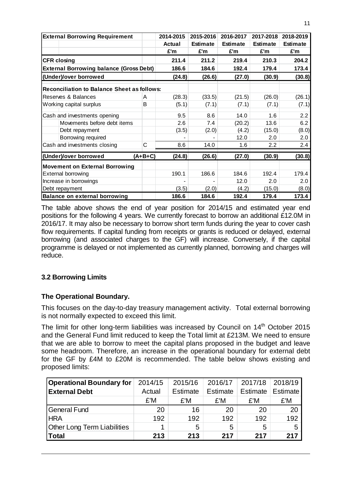| <b>External Borrowing Requirement</b>              |              | 2014-2015     | 2015-2016       | 2016-2017       | 2017-2018       | 2018-2019       |
|----------------------------------------------------|--------------|---------------|-----------------|-----------------|-----------------|-----------------|
|                                                    |              | <b>Actual</b> | <b>Estimate</b> | <b>Estimate</b> | <b>Estimate</b> | <b>Estimate</b> |
|                                                    |              | £'m           | £'m             | £'m             | £'m             | £'m             |
| <b>CFR closing</b>                                 |              | 211.4         | 211.2           | 219.4           | 210.3           | 204.2           |
| <b>External Borrowing balance (Gross Debt)</b>     |              | 186.6         | 184.6           | 192.4           | 179.4           | 173.4           |
| (Under)/over borrowed                              |              | (24.8)        | (26.6)          | (27.0)          | (30.9)          | (30.8)          |
| <b>Reconciliation to Balance Sheet as follows:</b> |              |               |                 |                 |                 |                 |
| Reserves & Balances                                | A            | (28.3)        | (33.5)          | (21.5)          | (26.0)          | (26.1)          |
| Working capital surplus                            | B            | (5.1)         | (7.1)           | (7.1)           | (7.1)           | (7.1)           |
| Cash and investments opening                       |              | 9.5           | 8.6             | 14.0            | 1.6             | 2.2             |
| Movements before debt items                        |              | 2.6           | 7.4             | (20.2)          | 13.6            | 6.2             |
| Debt repayment                                     |              | (3.5)         | (2.0)           | (4.2)           | (15.0)          | (8.0)           |
| Borrowing required                                 |              |               |                 | 12.0            | 2.0             | 2.0             |
| Cash and investments closing                       | $\mathsf{C}$ | 8.6           | 14.0            | 1.6             | 2.2             | 2.4             |
| (Under)/over borrowed                              | $(A+B+C)$    | (24.8)        | (26.6)          | (27.0)          | (30.9)          | (30.8)          |
| <b>Movement on External Borrowing</b>              |              |               |                 |                 |                 |                 |
| <b>External borrowing</b>                          |              | 190.1         | 186.6           | 184.6           | 192.4           | 179.4           |
| Increase in borrowings                             |              |               |                 | 12.0            | 2.0             | 2.0             |
| Debt repayment                                     |              | (3.5)         | (2.0)           | (4.2)           | (15.0)          | (8.0)           |
| <b>Balance on external borrowing</b>               |              | 186.6         | 184.6           | 192.4           | 179.4           | 173.4           |

The table above shows the end of year position for 2014/15 and estimated year end positions for the following 4 years. We currently forecast to borrow an additional £12.0M in 2016/17. It may also be necessary to borrow short term funds during the year to cover cash flow requirements. If capital funding from receipts or grants is reduced or delayed, external borrowing (and associated charges to the GF) will increase. Conversely, if the capital programme is delayed or not implemented as currently planned, borrowing and charges will reduce.

#### **3.2 Borrowing Limits**

#### **The Operational Boundary.**

This focuses on the day-to-day treasury management activity. Total external borrowing is not normally expected to exceed this limit.

The limit for other long-term liabilities was increased by Council on  $14<sup>th</sup>$  October 2015 and the General Fund limit reduced to keep the Total limit at £213M. We need to ensure that we are able to borrow to meet the capital plans proposed in the budget and leave some headroom. Therefore, an increase in the operational boundary for external debt for the GF by £4M to £20M is recommended. The table below shows existing and proposed limits:

| <b>Operational Boundary for</b>    | 2014/15 | 2015/16  | 2016/17  | 2017/18  | 2018/19  |
|------------------------------------|---------|----------|----------|----------|----------|
| <b>External Debt</b>               | Actual  | Estimate | Estimate | Estimate | Estimate |
|                                    | £'M     | £'M      | £'M      | £'M      | £'M      |
| <b>General Fund</b>                | 20      | 16       | 20       | 20       | 20       |
| <b>HRA</b>                         | 192     | 192      | 192      | 192      | 192      |
| <b>Other Long Term Liabilities</b> |         | 5        | 5        | 5        | 5        |
| <b>Total</b>                       | 213     | 213      | 217      | 217      | 217      |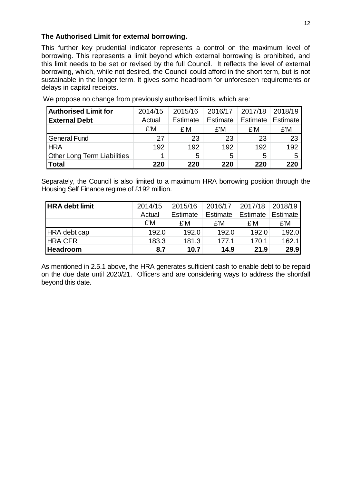#### **The Authorised Limit for external borrowing.**

This further key prudential indicator represents a control on the maximum level of borrowing. This represents a limit beyond which external borrowing is prohibited, and this limit needs to be set or revised by the full Council. It reflects the level of external borrowing, which, while not desired, the Council could afford in the short term, but is not sustainable in the longer term. It gives some headroom for unforeseen requirements or delays in capital receipts.

| <b>Authorised Limit for</b>        | 2014/15 | 2015/16  | 2016/17  | 2017/18  | 2018/19  |
|------------------------------------|---------|----------|----------|----------|----------|
| <b>External Debt</b>               | Actual  | Estimate | Estimate | Estimate | Estimate |
|                                    | £'M     | £'M      | £'M      | £'M      | £'M      |
| <b>General Fund</b>                | 27      | 23       | 23       | 23       | 23       |
| <b>HRA</b>                         | 192     | 192      | 192      | 192      | 192      |
| <b>Other Long Term Liabilities</b> |         | 5        | 5        | 5        |          |
| <b>Total</b>                       | 220     | 220      | 220      | 220      | 220      |

We propose no change from previously authorised limits, which are:

Separately, the Council is also limited to a maximum HRA borrowing position through the Housing Self Finance regime of £192 million.

| <b>HRA debt limit</b> | 2014/15 | 2015/16  | 2016/17  | 2017/18  | 2018/19  |
|-----------------------|---------|----------|----------|----------|----------|
|                       | Actual  | Estimate | Estimate | Estimate | Estimate |
|                       | £'M     | £'M      | £'M      | £'M      | £'M      |
| HRA debt cap          | 192.0   | 192.0    | 192.0    | 192.0    | 192.0    |
| <b>HRA CFR</b>        | 183.3   | 181.3    | 177.1    | 170.1    | 162.1    |
| <b>Headroom</b>       | 8.7     | 10.7     | 14.9     | 21.9     | 29.9     |

As mentioned in 2.5.1 above, the HRA generates sufficient cash to enable debt to be repaid on the due date until 2020/21. Officers and are considering ways to address the shortfall beyond this date.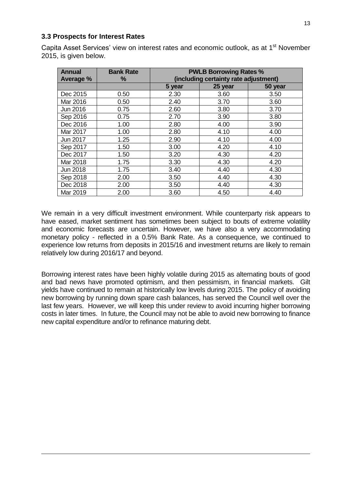#### **3.3 Prospects for Interest Rates**

Capita Asset Services' view on interest rates and economic outlook, as at 1<sup>st</sup> November 2015, is given below.

| Annual          | <b>Bank Rate</b><br>% | <b>PWLB Borrowing Rates %</b><br>(including certainty rate adjustment) |         |         |  |  |  |
|-----------------|-----------------------|------------------------------------------------------------------------|---------|---------|--|--|--|
| Average %       |                       | 5 year                                                                 | 25 year | 50 year |  |  |  |
| Dec 2015        | 0.50                  | 2.30                                                                   | 3.60    | 3.50    |  |  |  |
| Mar 2016        | 0.50                  | 2.40                                                                   | 3.70    | 3.60    |  |  |  |
| Jun 2016        | 0.75                  | 2.60                                                                   | 3.80    | 3.70    |  |  |  |
| Sep 2016        | 0.75                  | 2.70                                                                   | 3.90    | 3.80    |  |  |  |
| Dec 2016        | 1.00                  | 2.80                                                                   | 4.00    | 3.90    |  |  |  |
| Mar 2017        | 1.00                  | 2.80                                                                   | 4.10    | 4.00    |  |  |  |
| Jun 2017        | 1.25                  | 2.90                                                                   | 4.10    | 4.00    |  |  |  |
| Sep 2017        | 1.50                  | 3.00                                                                   | 4.20    | 4.10    |  |  |  |
| Dec 2017        | 1.50                  | 3.20                                                                   | 4.30    | 4.20    |  |  |  |
| Mar 2018        | 1.75                  | 3.30                                                                   | 4.30    | 4.20    |  |  |  |
| <b>Jun 2018</b> | 1.75                  | 3.40                                                                   | 4.40    | 4.30    |  |  |  |
| Sep 2018        | 2.00                  | 3.50                                                                   | 4.40    | 4.30    |  |  |  |
| Dec 2018        | 2.00                  | 3.50                                                                   | 4.40    | 4.30    |  |  |  |
| Mar 2019        | 2.00                  | 3.60                                                                   | 4.50    | 4.40    |  |  |  |

We remain in a very difficult investment environment. While counterparty risk appears to have eased, market sentiment has sometimes been subject to bouts of extreme volatility and economic forecasts are uncertain. However, we have also a very accommodating monetary policy - reflected in a 0.5% Bank Rate. As a consequence, we continued to experience low returns from deposits in 2015/16 and investment returns are likely to remain relatively low during 2016/17 and beyond.

Borrowing interest rates have been highly volatile during 2015 as alternating bouts of good and bad news have promoted optimism, and then pessimism, in financial markets. Gilt yields have continued to remain at historically low levels during 2015. The policy of avoiding new borrowing by running down spare cash balances, has served the Council well over the last few years. However, we will keep this under review to avoid incurring higher borrowing costs in later times. In future, the Council may not be able to avoid new borrowing to finance new capital expenditure and/or to refinance maturing debt.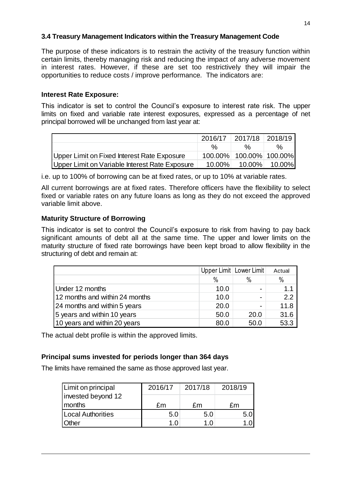#### **3.4 Treasury Management Indicators within the Treasury Management Code**

The purpose of these indicators is to restrain the activity of the treasury function within certain limits, thereby managing risk and reducing the impact of any adverse movement in interest rates. However, if these are set too restrictively they will impair the opportunities to reduce costs / improve performance*.* The indicators are:

#### **Interest Rate Exposure:**

This indicator is set to control the Council's exposure to interest rate risk. The upper limits on fixed and variable rate interest exposures, expressed as a percentage of net principal borrowed will be unchanged from last year at:

|                                                |               | 2016/17 2017/18 2018/19 |               |
|------------------------------------------------|---------------|-------------------------|---------------|
|                                                | $\frac{0}{6}$ | $\frac{0}{6}$           | %             |
| Upper Limit on Fixed Interest Rate Exposure    |               | 100.00% 100.00% 100.00% |               |
| Upper Limit on Variable Interest Rate Exposure | $10.00\%$     |                         | 10.00% 10.00% |

i.e. up to 100% of borrowing can be at fixed rates, or up to 10% at variable rates.

All current borrowings are at fixed rates. Therefore officers have the flexibility to select fixed or variable rates on any future loans as long as they do not exceed the approved variable limit above.

#### **Maturity Structure of Borrowing**

This indicator is set to control the Council's exposure to risk from having to pay back significant amounts of debt all at the same time. The upper and lower limits on the maturity structure of fixed rate borrowings have been kept broad to allow flexibility in the structuring of debt and remain at:

|                                |      | Upper Limit   Lower Limit | Actual |
|--------------------------------|------|---------------------------|--------|
|                                | $\%$ | $\%$                      | $\%$   |
| Under 12 months                | 10.0 |                           | 1.1    |
| 12 months and within 24 months | 10.0 | $\blacksquare$            | 2.2    |
| 24 months and within 5 years   | 20.0 |                           | 11.8   |
| 5 years and within 10 years    | 50.0 | 20.0                      | 31.6   |
| 10 years and within 20 years   | 80.0 | 50.0                      | 53.3   |

The actual debt profile is within the approved limits.

#### **Principal sums invested for periods longer than 364 days**

The limits have remained the same as those approved last year.

| Limit on principal           | 2016/17 | 2017/18 | 2018/19 |
|------------------------------|---------|---------|---------|
| invested beyond 12<br>months |         |         |         |
|                              | £m      | £m      | fm      |
| Local Authorities            | 5.0     | 5.0     |         |
| <b>Other</b>                 | 1 በ     | 1 በ     |         |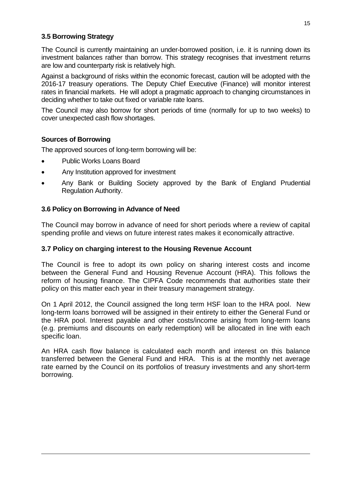#### **3.5 Borrowing Strategy**

The Council is currently maintaining an under-borrowed position, i.e. it is running down its investment balances rather than borrow. This strategy recognises that investment returns are low and counterparty risk is relatively high.

Against a background of risks within the economic forecast, caution will be adopted with the 2016-17 treasury operations. The Deputy Chief Executive (Finance) will monitor interest rates in financial markets. He will adopt a pragmatic approach to changing circumstances in deciding whether to take out fixed or variable rate loans.

The Council may also borrow for short periods of time (normally for up to two weeks) to cover unexpected cash flow shortages.

#### **Sources of Borrowing**

The approved sources of long-term borrowing will be:

- Public Works Loans Board
- Any Institution approved for investment
- Any Bank or Building Society approved by the Bank of England Prudential Regulation Authority.

#### **3.6 Policy on Borrowing in Advance of Need**

The Council may borrow in advance of need for short periods where a review of capital spending profile and views on future interest rates makes it economically attractive.

#### **3.7 Policy on charging interest to the Housing Revenue Account**

The Council is free to adopt its own policy on sharing interest costs and income between the General Fund and Housing Revenue Account (HRA). This follows the reform of housing finance. The CIPFA Code recommends that authorities state their policy on this matter each year in their treasury management strategy.

On 1 April 2012, the Council assigned the long term HSF loan to the HRA pool. New long-term loans borrowed will be assigned in their entirety to either the General Fund or the HRA pool. Interest payable and other costs/income arising from long-term loans (e.g. premiums and discounts on early redemption) will be allocated in line with each specific loan.

An HRA cash flow balance is calculated each month and interest on this balance transferred between the General Fund and HRA. This is at the monthly net average rate earned by the Council on its portfolios of treasury investments and any short-term borrowing.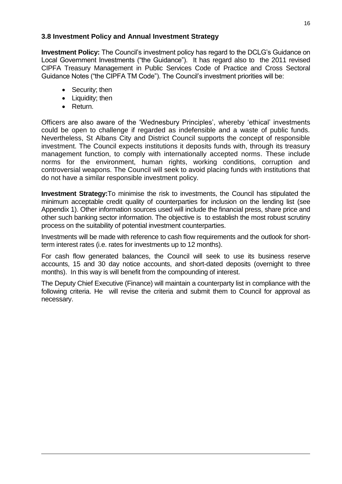#### **3.8 Investment Policy and Annual Investment Strategy**

**Investment Policy:** The Council's investment policy has regard to the DCLG's Guidance on Local Government Investments ("the Guidance"). It has regard also to the 2011 revised CIPFA Treasury Management in Public Services Code of Practice and Cross Sectoral Guidance Notes ("the CIPFA TM Code"). The Council's investment priorities will be:

- Security; then
- Liquidity; then
- Return.

Officers are also aware of the 'Wednesbury Principles', whereby 'ethical' investments could be open to challenge if regarded as indefensible and a waste of public funds. Nevertheless, St Albans City and District Council supports the concept of responsible investment. The Council expects institutions it deposits funds with, through its treasury management function, to comply with internationally accepted norms. These include norms for the environment, human rights, working conditions, corruption and controversial weapons. The Council will seek to avoid placing funds with institutions that do not have a similar responsible investment policy.

**Investment Strategy:**To minimise the risk to investments, the Council has stipulated the minimum acceptable credit quality of counterparties for inclusion on the lending list (see Appendix 1). Other information sources used will include the financial press, share price and other such banking sector information. The objective is to establish the most robust scrutiny process on the suitability of potential investment counterparties.

Investments will be made with reference to cash flow requirements and the outlook for shortterm interest rates (i.e. rates for investments up to 12 months).

For cash flow generated balances, the Council will seek to use its business reserve accounts, 15 and 30 day notice accounts, and short-dated deposits (overnight to three months). In this way is will benefit from the compounding of interest.

The Deputy Chief Executive (Finance) will maintain a counterparty list in compliance with the following criteria. He will revise the criteria and submit them to Council for approval as necessary.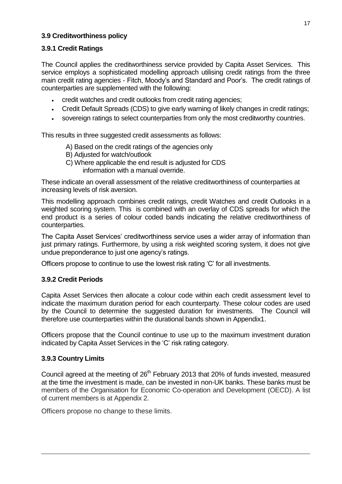#### **3.9 Creditworthiness policy**

#### **3.9.1 Credit Ratings**

The Council applies the creditworthiness service provided by Capita Asset Services. This service employs a sophisticated modelling approach utilising credit ratings from the three main credit rating agencies - Fitch, Moody's and Standard and Poor's. The credit ratings of counterparties are supplemented with the following:

- credit watches and credit outlooks from credit rating agencies;
- Credit Default Spreads (CDS) to give early warning of likely changes in credit ratings;
- sovereign ratings to select counterparties from only the most creditworthy countries.

This results in three suggested credit assessments as follows:

- A) Based on the credit ratings of the agencies only
- B) Adjusted for watch/outlook
- C) Where applicable the end result is adjusted for CDS information with a manual override.

These indicate an overall assessment of the relative creditworthiness of counterparties at increasing levels of risk aversion.

This modelling approach combines credit ratings, credit Watches and credit Outlooks in a weighted scoring system. This is combined with an overlay of CDS spreads for which the end product is a series of colour coded bands indicating the relative creditworthiness of counterparties.

The Capita Asset Services' creditworthiness service uses a wider array of information than just primary ratings. Furthermore, by using a risk weighted scoring system, it does not give undue preponderance to just one agency's ratings.

Officers propose to continue to use the lowest risk rating 'C' for all investments.

#### **3.9.2 Credit Periods**

Capita Asset Services then allocate a colour code within each credit assessment level to indicate the maximum duration period for each counterparty. These colour codes are used by the Council to determine the suggested duration for investments. The Council will therefore use counterparties within the durational bands shown in Appendix1.

Officers propose that the Council continue to use up to the maximum investment duration indicated by Capita Asset Services in the 'C' risk rating category.

#### **3.9.3 Country Limits**

Council agreed at the meeting of 26<sup>th</sup> February 2013 that 20% of funds invested, measured at the time the investment is made, can be invested in non-UK banks. These banks must be members of the Organisation for Economic Co-operation and Development (OECD). A list of current members is at Appendix 2.

Officers propose no change to these limits.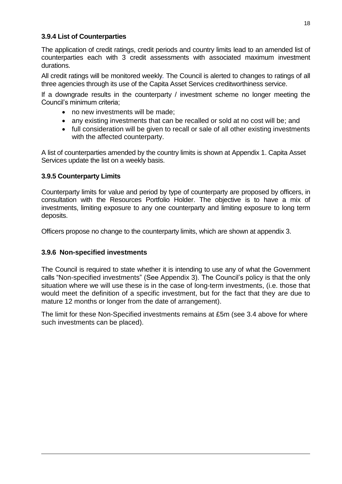#### **3.9.4 List of Counterparties**

The application of credit ratings, credit periods and country limits lead to an amended list of counterparties each with 3 credit assessments with associated maximum investment durations.

All credit ratings will be monitored weekly*.* The Council is alerted to changes to ratings of all three agencies through its use of the Capita Asset Services creditworthiness service.

If a downgrade results in the counterparty / investment scheme no longer meeting the Council's minimum criteria;

- no new investments will be made;
- any existing investments that can be recalled or sold at no cost will be; and
- full consideration will be given to recall or sale of all other existing investments with the affected counterparty.

A list of counterparties amended by the country limits is shown at Appendix 1. Capita Asset Services update the list on a weekly basis.

#### **3.9.5 Counterparty Limits**

Counterparty limits for value and period by type of counterparty are proposed by officers, in consultation with the Resources Portfolio Holder. The objective is to have a mix of investments, limiting exposure to any one counterparty and limiting exposure to long term deposits.

Officers propose no change to the counterparty limits, which are shown at appendix 3.

#### **3.9.6 Non-specified investments**

The Council is required to state whether it is intending to use any of what the Government calls "Non-specified investments" (See Appendix 3). The Council's policy is that the only situation where we will use these is in the case of long-term investments, (i.e. those that would meet the definition of a specific investment, but for the fact that they are due to mature 12 months or longer from the date of arrangement).

The limit for these Non-Specified investments remains at £5m (see 3.4 above for where such investments can be placed).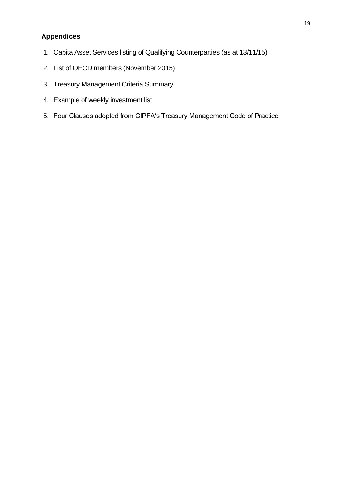#### **Appendices**

- 1. Capita Asset Services listing of Qualifying Counterparties (as at 13/11/15)
- 2. List of OECD members (November 2015)
- 3. Treasury Management Criteria Summary
- 4. Example of weekly investment list
- 5. Four Clauses adopted from CIPFA's Treasury Management Code of Practice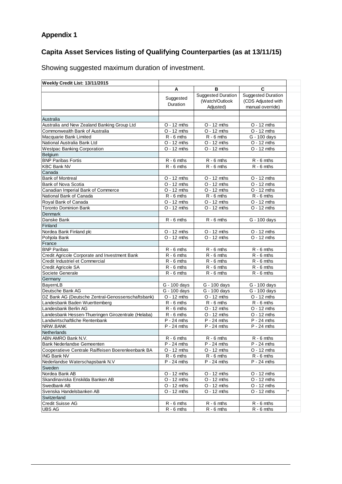## **Appendix 1**

## **Capita Asset Services listing of Qualifying Counterparties (as at 13/11/15)**

Showing suggested maximum duration of investment.

| Weekly Credit List: 13/11/2015                                                     |                               |                               |                               |  |  |
|------------------------------------------------------------------------------------|-------------------------------|-------------------------------|-------------------------------|--|--|
|                                                                                    | Α                             | B                             | C                             |  |  |
|                                                                                    |                               | <b>Suggested Duration</b>     | <b>Suggested Duration</b>     |  |  |
|                                                                                    | Suggested<br><b>Duration</b>  | (Watch/Outlook                | (CDS Adjusted with            |  |  |
|                                                                                    |                               | Adjusted)                     | manual override)              |  |  |
|                                                                                    |                               |                               |                               |  |  |
| Australia                                                                          |                               |                               |                               |  |  |
| Australia and New Zealand Banking Group Ltd                                        | $O - 12$ mths                 | $O - 12$ mths                 | $O - 12$ mths                 |  |  |
| Commonwealth Bank of Australia                                                     | $O - 12$ mths                 | $O - 12$ mths                 | $O - 12$ mths                 |  |  |
| Macquarie Bank Limited                                                             | $\overline{R}$ - 6 mths       | $R - 6$ mths                  | $G - 100$ days                |  |  |
| National Australia Bank Ltd                                                        | $O - 12$ mths                 | $O - 12$ mths                 | $O - 12$ mths                 |  |  |
| <b>Westpac Banking Corporation</b>                                                 | $O - 12$ mths                 | $O - 12$ mths                 | $O - 12$ mths                 |  |  |
| Belgium                                                                            |                               |                               |                               |  |  |
| <b>BNP Paribas Fortis</b>                                                          | $R - 6$ mths                  | $R - 6$ mths                  | $R - 6$ mths                  |  |  |
| <b>KBC Bank NV</b>                                                                 | $\overline{R}$ - 6 mths       | $R - 6$ mths                  | $R - 6$ mths                  |  |  |
| Canada                                                                             |                               |                               |                               |  |  |
| <b>Bank of Montreal</b>                                                            | $O - 12$ mths                 | $O - 12$ mths                 | $O - 12$ mths                 |  |  |
| Bank of Nova Scotia                                                                | $O - 12$ mths                 | $O - 12$ mths                 | $O - 12$ mths                 |  |  |
| Canadian Imperial Bank of Commerce                                                 | $O - 12$ mths                 | $O - 12$ mths                 | $O - 12$ mths                 |  |  |
| National Bank of Canada                                                            | $R - 6$ mths                  | $R - 6$ mths                  | $R - 6$ mths                  |  |  |
| Royal Bank of Canada                                                               | $O - 12$ mths                 | $O - 12$ mths                 | $O - 12$ mths                 |  |  |
| <b>Toronto Dominion Bank</b>                                                       | $O - 12$ mths                 | $O - 12$ mths                 | $O - 12$ mths                 |  |  |
| Denmark                                                                            |                               |                               |                               |  |  |
| Danske Bank                                                                        | $\overline{R}$ - 6 mths       | $R - 6$ mths                  | G - 100 days                  |  |  |
| Finland                                                                            |                               |                               |                               |  |  |
| Nordea Bank Finland plc                                                            | $O - 12$ mths                 | $O - 12$ mths                 | $O - 12$ mths                 |  |  |
| Pohjola Bank                                                                       | $\overline{O}$ - 12 mths      | $O - 12$ mths                 | $O - 12$ mths                 |  |  |
| France                                                                             |                               |                               |                               |  |  |
| <b>BNP Paribas</b>                                                                 | $R - 6$ mths                  | $R - 6$ mths                  | $R - 6$ mths                  |  |  |
| Credit Agricole Corporate and Investment Bank                                      | $R - 6$ mths                  | $R - 6$ mths                  | $R - 6$ mths                  |  |  |
| Credit Industriel et Commercial                                                    | $R - 6$ mths                  | $R - 6$ mths                  | $R - 6$ mths                  |  |  |
| Credit Agricole SA                                                                 | $R - 6$ mths                  | $R - 6$ mths                  | $R - 6$ mths                  |  |  |
| Societe Generale                                                                   | $R - 6$ mths                  | $R - 6$ mths                  | $R - 6$ mths                  |  |  |
| Germany                                                                            |                               |                               |                               |  |  |
| BayernLB                                                                           | G - 100 days                  | G - 100 days                  | G - 100 days                  |  |  |
| Deutsche Bank AG                                                                   | G - 100 days                  | G - 100 days                  | G - 100 days                  |  |  |
| DZ Bank AG (Deutsche Zentral-Genossenschaftsbank)<br>Landesbank Baden Wuerttemberg | $O - 12$ mths                 | $O - 12$ mths                 | $O - 12$ mths                 |  |  |
| Landesbank Berlin AG                                                               | $R - 6$ mths<br>$R - 6$ mths  | $R - 6$ mths<br>$O - 12$ mths | $R - 6$ mths<br>$O - 12$ mths |  |  |
| Landesbank Hessen-Thueringen Girozentrale (Helaba)                                 | $R - 6$ mths                  | $O - 12$ mths                 | $O - 12$ mths                 |  |  |
| Landwirtschaftliche Rentenbank                                                     | $P - 24$ mths                 | $P - 24$ mths                 | $P - 24$ mths                 |  |  |
| NRW.BANK                                                                           | $P - 24$ mths                 | $P - 24$ mths                 | $P - 24$ mths                 |  |  |
| Netherlands                                                                        |                               |                               |                               |  |  |
| IABN AMRO Bank N.V.                                                                |                               | $R - 6$ mths                  | $R - 6$ mths                  |  |  |
| Bank Nederlandse Gemeenten                                                         | $R - 6$ mths<br>$P - 24$ mths | $P - 24$ mths                 | $P - 24$ mths                 |  |  |
| Cooperatieve Centrale Raiffeisen Boerenleenbank BA                                 | $O - 12$ mths                 | $O - 12$ mths                 | $O - 12$ mths                 |  |  |
| <b>ING Bank NV</b>                                                                 | $R - 6$ mths                  | $R - 6$ mths                  | $R - 6$ mths                  |  |  |
| Nederlandse Waterschapsbank N.V                                                    | $P - 24$ mths                 | $P - 24$ mths                 | $P - 24$ mths                 |  |  |
| Sweden                                                                             |                               |                               |                               |  |  |
| Nordea Bank AB                                                                     | $O - 12$ mths                 | $O - 12$ mths                 | $O - 12$ mths                 |  |  |
| Skandinaviska Enskilda Banken AB                                                   | $O - 12$ mths                 | $O - 12$ mths                 | $O - 12$ mths                 |  |  |
| Swedbank AB                                                                        | $O - 12$ mths                 | $O - 12$ mths                 | $O - 12$ mths                 |  |  |
| Svenska Handelsbanken AB                                                           | $O - 12$ mths                 | $O - 12$ mths                 | $O - 12$ mths                 |  |  |
| Switzerland                                                                        |                               |                               |                               |  |  |
| Credit Suisse AG                                                                   | $R - 6$ mths                  | $R - 6$ mths                  | $R - 6$ mths                  |  |  |
| <b>UBS AG</b>                                                                      | $R - 6$ mths                  | $R - 6$ mths                  | $R - 6$ mths                  |  |  |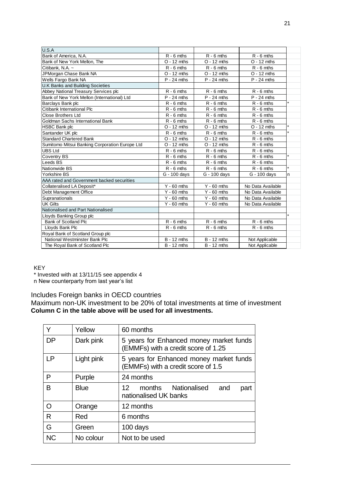| U.S.A                                          |                    |                          |                   |              |
|------------------------------------------------|--------------------|--------------------------|-------------------|--------------|
| Bank of America, N.A.                          | $R - 6$ mths       | $R - 6$ mths             | $R - 6$ mths      |              |
| Bank of New York Mellon, The                   | $O - 12$ mths      | $O - 12$ mths            | $O - 12$ mths     |              |
| Citibank, N.A. ~                               | $R - 6$ mths       | $R - 6$ mths             | $R - 6$ mths      |              |
| JPMorgan Chase Bank NA                         | $O - 12$ mths      | $O - 12$ mths            | $O - 12$ mths     |              |
| Wells Fargo Bank NA                            | $P - 24$ mths      | $P - 24$ mths            | $P - 24$ mths     |              |
| <b>U.K Banks and Building Societies</b>        |                    |                          |                   |              |
| Abbey National Treasury Services plc           | $R - 6$ mths       | $R - 6$ mths             | $R - 6$ mths      |              |
| Bank of New York Mellon (International) Ltd    | $P - 24$ mths      | $P - 24$ mths            | $P - 24$ mths     |              |
| Barclays Bank plc                              | $R - 6$ mths       | $R - 6$ mths             | $R - 6$ mths      |              |
| Citibank International Plc                     | $R - 6$ mths       | $R - 6$ mths             | $R - 6$ mths      |              |
| <b>Close Brothers Ltd</b>                      | $R - 6$ mths       | $R - 6$ mths             | $R - 6$ mths      |              |
| Goldman Sachs International Bank               | $R - 6$ mths       | $R - 6$ mths             | $R - 6$ mths      |              |
| <b>HSBC Bank plc</b>                           | $O - 12$ mths      | $O - 12$ mths            | $O - 12$ mths     |              |
| Santander UK plc                               | $R - 6$ mths       | $R - 6$ mths             | $R - 6$ mths      |              |
| <b>Standard Chartered Bank</b>                 | $O - 12$ mths      | $O - 12$ mths            | $R - 6$ mths      |              |
| Sumitomo Mitsui Banking Corporation Europe Ltd | $O - 12$ mths      | $O - 12$ mths            | $R - 6$ mths      |              |
| <b>UBS Ltd</b>                                 | $R - 6$ mths       | $R - 6$ mths             | $R - 6$ mths      |              |
| <b>Coventry BS</b>                             | $R - 6$ mths       | $R - 6$ mths             | $R - 6$ mths      |              |
| Leeds BS                                       | $R - 6$ mths       | $R - 6$ mths             | $R - 6$ mths      |              |
| Nationwide BS                                  | $R - 6$ mths       | $R - 6$ mths             | $R - 6$ mths      |              |
| Yorkshire BS                                   | G - 100 days       | G - 100 days             | G - 100 days      | <sub>n</sub> |
| AAA rated and Government backed securities     |                    |                          |                   |              |
| Collateralised LA Deposit*                     | $Y - 60$ mths      | $Y - 60$ mths            | No Data Available |              |
| Debt Management Office                         | $Y - 60$ mths      | $\overline{Y}$ - 60 mths | No Data Available |              |
| Supranationals                                 | $Y - 60$ mths      | $Y - 60$ mths            | No Data Available |              |
| <b>UK Gilts</b>                                | $Y - 60$ mths      | $Y - 60$ mths            | No Data Available |              |
| Nationalised and Part Nationalised             |                    |                          |                   |              |
| Lloyds Banking Group plc                       |                    |                          |                   |              |
| <b>Bank of Scotland Plc</b>                    | $R - 6$ mths       | $R - 6$ mths             | $R - 6$ mths      |              |
| Lloyds Bank Plc                                | $R - 6$ mths       | $R - 6$ mths             | $R - 6$ mths      |              |
| Royal Bank of Scotland Group plc               |                    |                          |                   |              |
| National Westminster Bank Plc                  | <b>B</b> - 12 mths | $B - 12$ mths            | Not Applicable    |              |
| The Royal Bank of Scotland Plc                 | $B - 12$ mths      | $B - 12$ mths            | Not Applicable    |              |

#### KEY

\* Invested with at 13/11/15 see appendix 4

n New counterparty from last year's list

#### Includes Foreign banks in OECD countries

Maximum non-UK investment to be 20% of total investments at time of investment **Column C in the table above will be used for all investments.**

| Y         | Yellow      | 60 months                                                                      |  |  |  |  |
|-----------|-------------|--------------------------------------------------------------------------------|--|--|--|--|
| <b>DP</b> | Dark pink   | 5 years for Enhanced money market funds<br>(EMMFs) with a credit score of 1.25 |  |  |  |  |
| LP        | Light pink  | 5 years for Enhanced money market funds<br>(EMMFs) with a credit score of 1.5  |  |  |  |  |
| P         | Purple      | 24 months                                                                      |  |  |  |  |
| В         | <b>Blue</b> | months Nationalised<br>12.<br>and<br>part<br>nationalised UK banks             |  |  |  |  |
| O         | Orange      | 12 months                                                                      |  |  |  |  |
| R         | Red         | 6 months                                                                       |  |  |  |  |
| G         | Green       | 100 days                                                                       |  |  |  |  |
| <b>NC</b> | No colour   | Not to be used                                                                 |  |  |  |  |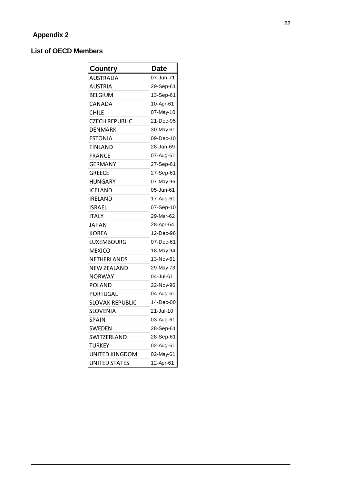#### **List of OECD Members**

| Country               | Date      |
|-----------------------|-----------|
| <b>AUSTRALIA</b>      | 07-Jun-71 |
| <b>AUSTRIA</b>        | 29-Sep-61 |
| <b>BELGIUM</b>        | 13-Sep-61 |
| CANADA                | 10-Apr-61 |
| <b>CHILE</b>          | 07-May-10 |
| <b>CZECH REPUBLIC</b> | 21-Dec-95 |
| <b>DENMARK</b>        | 30-May-61 |
| <b>ESTONIA</b>        | 09-Dec-10 |
| <b>FINLAND</b>        | 28-Jan-69 |
| <b>FRANCE</b>         | 07-Aug-61 |
| <b>GERMANY</b>        | 27-Sep-61 |
| <b>GREECE</b>         | 27-Sep-61 |
| <b>HUNGARY</b>        | 07-May-96 |
| ICELAND               | 05-Jun-61 |
| IRELAND               | 17-Aug-61 |
| ISRAEL                | 07-Sep-10 |
| <b>ITALY</b>          | 29-Mar-62 |
| JAPAN                 | 28-Apr-64 |
| <b>KOREA</b>          | 12-Dec-96 |
| LUXEMBOURG            | 07-Dec-61 |
| <b>MEXICO</b>         | 18-May-94 |
| NETHERLANDS           | 13-Nov-61 |
| <b>NEW ZEALAND</b>    | 29-May-73 |
| NORWAY                | 04-Jul-61 |
| POLAND                | 22-Nov-96 |
| PORTUGAL              | 04-Aug-61 |
| SLOVAK REPUBLIC       | 14-Dec-00 |
| <b>SLOVENIA</b>       | 21-Jul-10 |
| SPAIN                 | 03-Aug-61 |
| <b>SWEDEN</b>         | 28-Sep-61 |
| SWITZERLAND           | 28-Sep-61 |
| <b>TURKEY</b>         | 02-Aug-61 |
| UNITED KINGDOM        | 02-May-61 |
| UNITED STATES         | 12-Apr-61 |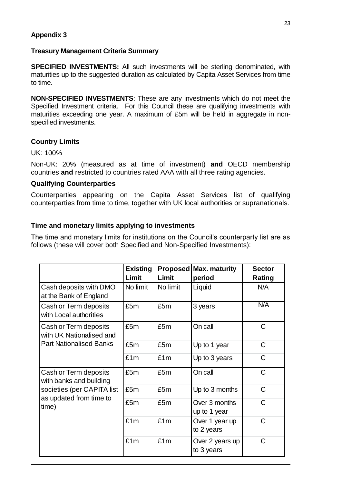#### **Appendix 3**

#### **Treasury Management Criteria Summary**

**SPECIFIED INVESTMENTS:** All such investments will be sterling denominated, with maturities up to the suggested duration as calculated by Capita Asset Services from time to time.

**NON-SPECIFIED INVESTMENTS**: These are any investments which do not meet the Specified Investment criteria. For this Council these are qualifying investments with maturities exceeding one year. A maximum of £5m will be held in aggregate in nonspecified investments.

#### **Country Limits**

UK: 100%

Non-UK: 20% (measured as at time of investment) **and** OECD membership countries **and** restricted to countries rated AAA with all three rating agencies.

#### **Qualifying Counterparties**

Counterparties appearing on the Capita Asset Services list of qualifying counterparties from time to time, together with UK local authorities or supranationals.

#### **Time and monetary limits applying to investments**

The time and monetary limits for institutions on the Council's counterparty list are as follows (these will cover both Specified and Non-Specified Investments):

|                                                   | <b>Existing</b><br>Limit | Limit    | <b>Proposed Max. maturity</b><br>period | <b>Sector</b><br>Rating |
|---------------------------------------------------|--------------------------|----------|-----------------------------------------|-------------------------|
| Cash deposits with DMO<br>at the Bank of England  | No limit                 | No limit | Liquid                                  | N/A                     |
| Cash or Term deposits<br>with Local authorities   | £5m                      | £5m      | 3 years                                 | N/A                     |
| Cash or Term deposits<br>with UK Nationalised and | £5m                      | £5m      | On call                                 | $\mathsf{C}$            |
| <b>Part Nationalised Banks</b>                    | £5m                      | £5m      | Up to 1 year                            | $\mathsf C$             |
|                                                   | £1m                      | £1m      | Up to 3 years                           | C                       |
| Cash or Term deposits<br>with banks and building  | £5m                      | £5m      | On call                                 | $\mathsf{C}$            |
| societies (per CAPITA list                        | £5m                      | £5m      | Up to 3 months                          | $\mathsf C$             |
| as updated from time to<br>time)                  | £5m                      | £5m      | Over 3 months<br>up to 1 year           | C                       |
|                                                   | £1m                      | £1m      | Over 1 year up<br>to 2 years            | $\mathsf C$             |
|                                                   | £1m                      | £1m      | Over 2 years up<br>to 3 years           | $\mathsf C$             |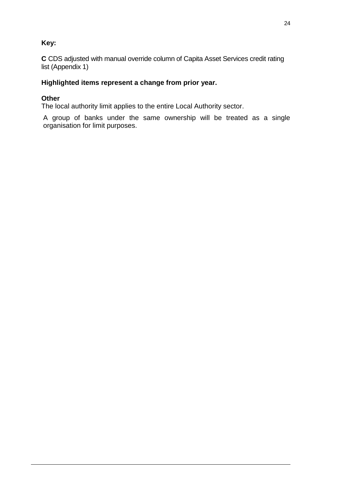#### **Key:**

**C** CDS adjusted with manual override column of Capita Asset Services credit rating list (Appendix 1)

#### **Highlighted items represent a change from prior year.**

#### **Other**

The local authority limit applies to the entire Local Authority sector.

A group of banks under the same ownership will be treated as a single organisation for limit purposes.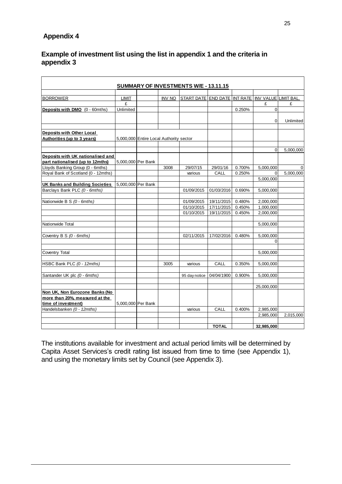#### **Appendix 4**

#### **Example of investment list using the list in appendix 1 and the criteria in appendix 3**

|                                        |                    |                                         |               | <b>SUMMARY OF INVESTMENTS W/E - 13.11.15</b>            |              |        |            |             |
|----------------------------------------|--------------------|-----------------------------------------|---------------|---------------------------------------------------------|--------------|--------|------------|-------------|
|                                        |                    |                                         |               |                                                         |              |        |            |             |
| <b>BORROWER</b>                        | <b>LIMIT</b>       |                                         | <b>INV NO</b> | <u>START DATE END DATE INT RATE INV VALUE LIMIT BAL</u> |              |        |            |             |
|                                        | £                  |                                         |               |                                                         |              |        | £          | £           |
| Deposits with DMO (0 - 60mths)         | Unlimited          |                                         |               |                                                         |              | 0.250% | 0          |             |
|                                        |                    |                                         |               |                                                         |              |        |            |             |
|                                        |                    |                                         |               |                                                         |              |        | $\Omega$   | Unlimited   |
|                                        |                    |                                         |               |                                                         |              |        |            |             |
| <b>Deposits with Other Local</b>       |                    |                                         |               |                                                         |              |        |            |             |
| Authorities (up to 3 years)            |                    | 5,000,000 Entire Local Authority sector |               |                                                         |              |        |            |             |
|                                        |                    |                                         |               |                                                         |              |        |            |             |
|                                        |                    |                                         |               |                                                         |              |        | $\Omega$   | 5,000,000   |
| Deposits with UK nationalised and      |                    |                                         |               |                                                         |              |        |            |             |
| part nationalised (up to 12mths)       | 5,000,000 Per Bank |                                         |               |                                                         |              |        |            |             |
| Lloyds Banking Group (0 - 6mths)       |                    |                                         | 3008          | 29/07/15                                                | 29/01/16     | 0.700% | 5,000,000  | $\mathbf 0$ |
| Royal Bank of Scotland (0 - 12mths)    |                    |                                         |               | various                                                 | CALL         | 0.250% | $\Omega$   | 5,000,000   |
|                                        |                    |                                         |               |                                                         |              |        | 5,000,000  |             |
| <b>UK Banks and Building Societies</b> | 5,000,000 Per Bank |                                         |               |                                                         |              |        |            |             |
| Barclays Bank PLC (0 - 6mths)          |                    |                                         |               | 01/09/2015                                              | 01/03/2016   | 0.690% | 5,000,000  |             |
|                                        |                    |                                         |               |                                                         |              |        |            |             |
| Nationwide B S (0 - 6mths)             |                    |                                         |               | 01/09/2015                                              | 19/11/2015   | 0.480% | 2,000,000  |             |
|                                        |                    |                                         |               | 01/10/2015                                              | 17/11/2015   | 0.450% | 1,000,000  |             |
|                                        |                    |                                         |               | 01/10/2015                                              | 19/11/2015   | 0.450% | 2,000,000  |             |
|                                        |                    |                                         |               |                                                         |              |        |            |             |
| Nationwide Total                       |                    |                                         |               |                                                         |              |        | 5,000,000  |             |
|                                        |                    |                                         |               |                                                         |              |        |            |             |
| Coventry B S (0 - 6mths)               |                    |                                         |               | 02/11/2015                                              | 17/02/2016   | 0.480% | 5,000,000  |             |
|                                        |                    |                                         |               |                                                         |              |        | $\Omega$   |             |
|                                        |                    |                                         |               |                                                         |              |        |            |             |
| <b>Coventry Total</b>                  |                    |                                         |               |                                                         |              |        | 5,000,000  |             |
| HSBC Bank PLC (0 - 12mths)             |                    |                                         | 3005          | various                                                 | CALL         | 0.350% | 5,000,000  |             |
|                                        |                    |                                         |               |                                                         |              |        |            |             |
| Santander UK plc (0 - 6mths)           |                    |                                         |               | 95 day notice                                           | 04/04/1900   | 0.900% | 5,000,000  |             |
|                                        |                    |                                         |               |                                                         |              |        |            |             |
|                                        |                    |                                         |               |                                                         |              |        | 25,000,000 |             |
| Non UK, Non Eurozone Banks (No         |                    |                                         |               |                                                         |              |        |            |             |
| more than 20%, measured at the         |                    |                                         |               |                                                         |              |        |            |             |
| time of investment)                    | 5.000.000 Per Bank |                                         |               |                                                         |              |        |            |             |
| Handelsbanken (0 - 12mths)             |                    |                                         |               | various                                                 | CALL         | 0.400% | 2,985,000  |             |
|                                        |                    |                                         |               |                                                         |              |        | 2,985,000  | 2,015,000   |
|                                        |                    |                                         |               |                                                         |              |        |            |             |
|                                        |                    |                                         |               |                                                         | <b>TOTAL</b> |        | 32,985,000 |             |

The institutions available for investment and actual period limits will be determined by Capita Asset Services's credit rating list issued from time to time (see Appendix 1), and using the monetary limits set by Council (see Appendix 3).